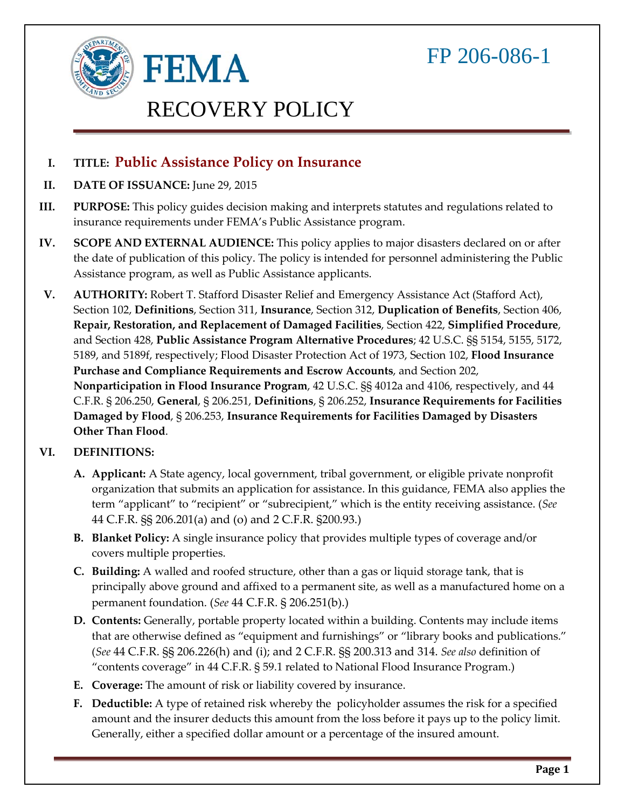

# RECOVERY POLICY

**I. TITLE: Public Assistance Policy on Insurance** 

**FEMA** 

- **II. DATE OF ISSUANCE:** June 29, 2015
- insurance requirements under FEMA's Public Assistance program. **III. PURPOSE:** This policy guides decision making and interprets statutes and regulations related to
- **IV. SCOPE AND EXTERNAL AUDIENCE:** This policy applies to major disasters declared on or after the date of publication of this policy. The policy is intended for personnel administering the Public Assistance program, as well as Public Assistance applicants.
- **V. AUTHORITY:** Robert T. Stafford Disaster Relief and Emergency Assistance Act (Stafford Act), **Nonparticipation in Flood Insurance Program**, 42 U.S.C. §§ 4012a and 4106, respectively, and 44 Section 102, **Definitions**, Section 311, **Insurance**, Section 312, **Duplication of Benefits**, Section 406, **Repair, Restoration, and Replacement of Damaged Facilities**, Section 422, **Simplified Procedure**, and Section 428, **Public Assistance Program Alternative Procedures**; 42 U.S.C. §§ 5154, 5155, 5172, 5189, and 5189f, respectively; Flood Disaster Protection Act of 1973, Section 102, **Flood Insurance Purchase and Compliance Requirements and Escrow Accounts**, and Section 202, C.F.R. § 206.250, **General**, § 206.251, **Definitions**, § 206.252, **Insurance Requirements for Facilities Damaged by Flood**, § 206.253, **Insurance Requirements for Facilities Damaged by Disasters Other Than Flood**.

#### **VI. DEFINITIONS:**

- term "applicant" to "recipient" or "subrecipient," which is the entity receiving assistance. (*See*  44 C.F.R. §§ 206.201(a) and (o) and 2 C.F.R. §200.93.) **A. Applicant:** A State agency, local government, tribal government, or eligible private nonprofit organization that submits an application for assistance. In this guidance, FEMA also applies the
- **B. Blanket Policy:** A single insurance policy that provides multiple types of coverage and/or covers multiple properties.
- **C. Building:** A walled and roofed structure, other than a gas or liquid storage tank, that is principally above ground and affixed to a permanent site, as well as a manufactured home on a permanent foundation. (*See* 44 C.F.R. § 206.251(b).)
- **D. Contents:** Generally, portable property located within a building. Contents may include items "contents coverage" in 44 C.F.R. § 59.1 related to National Flood Insurance Program.) that are otherwise defined as "equipment and furnishings" or "library books and publications." (*See* 44 C.F.R. §§ 206.226(h) and (i); and 2 C.F.R. §§ 200.313 and 314. *See also* definition of
- **E. Coverage:** The amount of risk or liability covered by insurance.
- **F. Deductible:** A type of retained risk whereby the policyholder assumes the risk for a specified amount and the insurer deducts this amount from the loss before it pays up to the policy limit. Generally, either a specified dollar amount or a percentage of the insured amount.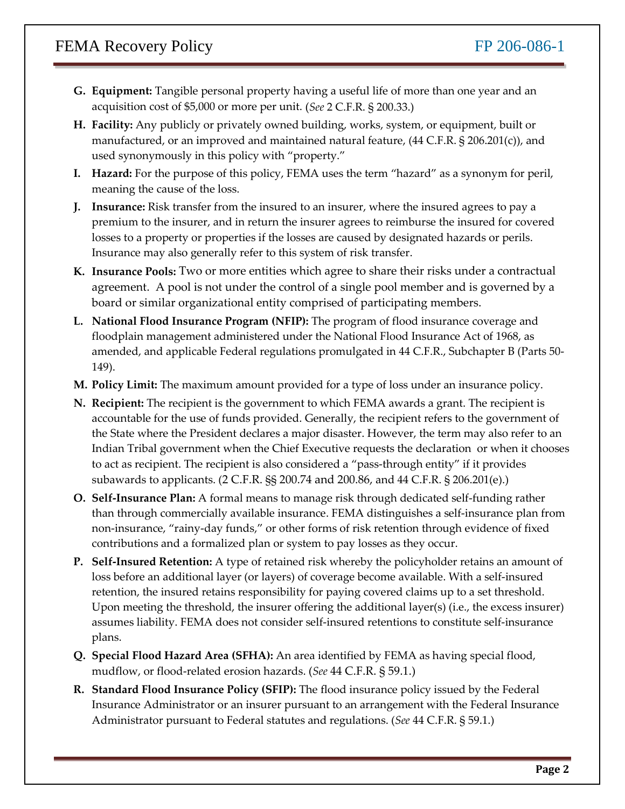- **G. Equipment:** Tangible personal property having a useful life of more than one year and an acquisition cost of \$5,000 or more per unit. (*See* 2 C.F.R. § 200.33.)
- **H. Facility:** Any publicly or privately owned building, works, system, or equipment, built or manufactured, or an improved and maintained natural feature, (44 C.F.R. § 206.201(c)), and used synonymously in this policy with "property."
- **I. Hazard:** For the purpose of this policy, FEMA uses the term "hazard" as a synonym for peril, meaning the cause of the loss.
- premium to the insurer, and in return the insurer agrees to reimburse the insured for covered losses to a property or properties if the losses are caused by designated hazards or perils.  Insurance may also generally refer to this system of risk transfer. **J. Insurance:** Risk transfer from the insured to an insurer, where the insured agrees to pay a
- **K. Insurance Pools:** Two or more entities which agree to share their risks under a contractual agreement. A pool is not under the control of a single pool member and is governed by a board or similar organizational entity comprised of participating members.
- amended, and applicable Federal regulations promulgated in 44 C.F.R., Subchapter B (Parts 50- **L. National Flood Insurance Program (NFIP):** The program of flood insurance coverage and floodplain management administered under the National Flood Insurance Act of 1968, as 149).
- **M. Policy Limit:** The maximum amount provided for a type of loss under an insurance policy.
- accountable for the use of funds provided. Generally, the recipient refers to the government of the State where the President declares a major disaster. However, the term may also refer to an subawards to applicants. (2 C.F.R. §§ 200.74 and 200.86, and 44 C.F.R. § 206.201(e).) **N. Recipient:** The recipient is the government to which FEMA awards a grant. The recipient is Indian Tribal government when the Chief Executive requests the declaration or when it chooses to act as recipient. The recipient is also considered a "pass-through entity" if it provides
- non-insurance, "rainy-day funds," or other forms of risk retention through evidence of fixed **O. Self-Insurance Plan:** A formal means to manage risk through dedicated self-funding rather than through commercially available insurance. FEMA distinguishes a self-insurance plan from contributions and a formalized plan or system to pay losses as they occur.
- **P. Self-Insured Retention:** A type of retained risk whereby the policyholder retains an amount of loss before an additional layer (or layers) of coverage become available. With a self-insured Upon meeting the threshold, the insurer offering the additional layer(s) (i.e., the excess insurer) assumes liability. FEMA does not consider self-insured retentions to constitute self-insurance retention, the insured retains responsibility for paying covered claims up to a set threshold. plans.
- **Q. Special Flood Hazard Area (SFHA):** An area identified by FEMA as having special flood, mudflow, or flood-related erosion hazards. (*See* 44 C.F.R. § 59.1.)
- Administrator pursuant to Federal statutes and regulations. (*See* 44 C.F.R. § 59.1.) **R. Standard Flood Insurance Policy (SFIP):** The flood insurance policy issued by the Federal Insurance Administrator or an insurer pursuant to an arrangement with the Federal Insurance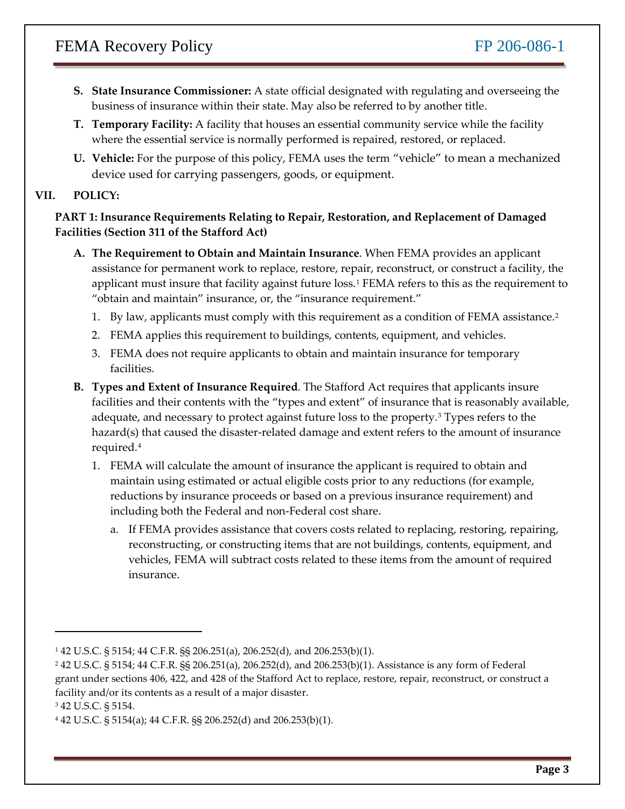- **S. State Insurance Commissioner:** A state official designated with regulating and overseeing the business of insurance within their state. May also be referred to by another title.
- **T. Temporary Facility:** A facility that houses an essential community service while the facility where the essential service is normally performed is repaired, restored, or replaced.
- **U. Vehicle:** For the purpose of this policy, FEMA uses the term "vehicle" to mean a mechanized device used for carrying passengers, goods, or equipment.

#### **VII. POLICY:**

#### **PART 1: Insurance Requirements Relating to Repair, Restoration, and Replacement of Damaged Facilities (Section 311 of the Stafford Act)**

- assistance for permanent work to replace, restore, repair, reconstruct, or construct a facility, the **A. The Requirement to Obtain and Maintain Insurance**. When FEMA provides an applicant applicant must insure that facility against future loss.[1](#page-2-0) FEMA refers to this as the requirement to
	- "obtain and maintain" insurance, or, the "insurance requirement."<br>1. By law, applicants must comply with this requirement as a condition of FEMA assistance.<sup>[2](#page-2-1)</sup>
	- 2. FEMA applies this requirement to buildings, contents, equipment, and vehicles.
	- facilities. 3. FEMA does not require applicants to obtain and maintain insurance for temporary
- adequate, and necessary to protect against future loss to the property.<sup>[3](#page-2-2)</sup> Types refers to the **B. Types and Extent of Insurance Required**. The Stafford Act requires that applicants insure facilities and their contents with the "types and extent" of insurance that is reasonably available, hazard(s) that caused the disaster-related damage and extent refers to the amount of insurance required.[4](#page-2-3)
	- 1. FEMA will calculate the amount of insurance the applicant is required to obtain and maintain using estimated or actual eligible costs prior to any reductions (for example, including both the Federal and non-Federal cost share. reductions by insurance proceeds or based on a previous insurance requirement) and
		- a. If FEMA provides assistance that covers costs related to replacing, restoring, repairing, reconstructing, or constructing items that are not buildings, contents, equipment, and vehicles, FEMA will subtract costs related to these items from the amount of required insurance.

-

<span id="page-2-0"></span><sup>1 42</sup> U.S.C. § 5154; 44 C.F.R. §§ 206.251(a), 206.252(d), and 206.253(b)(1).

<span id="page-2-1"></span> 2 42 U.S.C. § 5154; 44 C.F.R. §§ 206.251(a), 206.252(d), and 206.253(b)(1). Assistance is any form of Federal grant under sections 406, 422, and 428 of the Stafford Act to replace, restore, repair, reconstruct, or construct a facility and/or its contents as a result of a major disaster.

<span id="page-2-2"></span><sup>3 42</sup> U.S.C. § 5154.

<span id="page-2-3"></span><sup>4 42</sup> U.S.C. § 5154(a); 44 C.F.R. §§ 206.252(d) and 206.253(b)(1).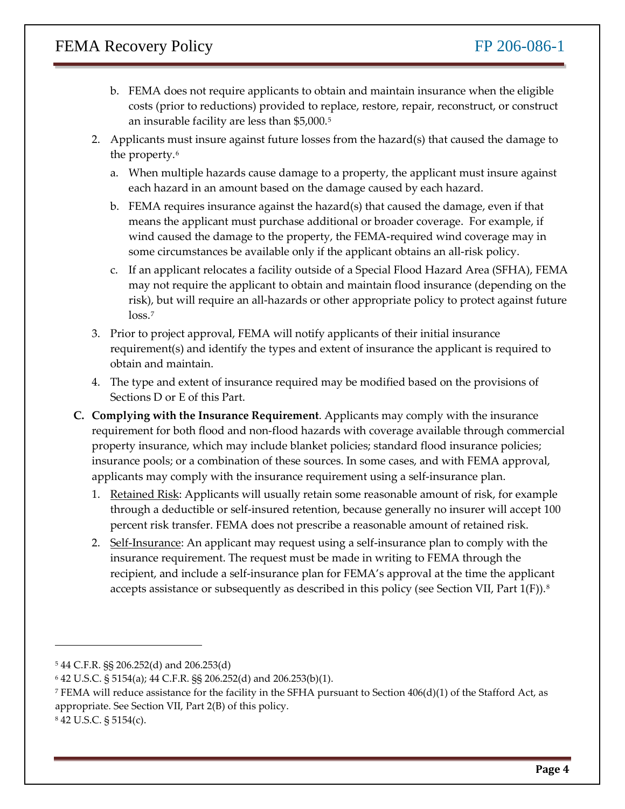- costs (prior to reductions) provided to replace, restore, repair, reconstruct, or construct b. FEMA does not require applicants to obtain and maintain insurance when the eligible an insurable facility are less than \$5,000[.5](#page-3-0)
- 2. Applicants must insure against future losses from the hazard(s) that caused the damage to the property.<sup>[6](#page-3-1)</sup>
	- each hazard in an amount based on the damage caused by each hazard. a. When multiple hazards cause damage to a property, the applicant must insure against
	- means the applicant must purchase additional or broader coverage. For example, if b. FEMA requires insurance against the hazard(s) that caused the damage, even if that wind caused the damage to the property, the FEMA-required wind coverage may in some circumstances be available only if the applicant obtains an all-risk policy.
	- c. If an applicant relocates a facility outside of a Special Flood Hazard Area (SFHA), FEMA may not require the applicant to obtain and maintain flood insurance (depending on the risk), but will require an all-hazards or other appropriate policy to protect against future loss.<sup>[7](#page-3-2)</sup>
- 3. Prior to project approval, FEMA will notify applicants of their initial insurance requirement(s) and identify the types and extent of insurance the applicant is required to obtain and maintain.
- 4. The type and extent of insurance required may be modified based on the provisions of Sections D or E of this Part.
- **C. Complying with the Insurance Requirement**. Applicants may comply with the insurance requirement for both flood and non-flood hazards with coverage available through commercial property insurance, which may include blanket policies; standard flood insurance policies; insurance pools; or a combination of these sources. In some cases, and with FEMA approval, applicants may comply with the insurance requirement using a self-insurance plan.
	- through a deductible or self-insured retention, because generally no insurer will accept 100 percent risk transfer. FEMA does not prescribe a reasonable amount of retained risk. 1. Retained Risk: Applicants will usually retain some reasonable amount of risk, for example
	- recipient, and include a self-insurance plan for FEMA's approval at the time the applicant accepts assistance or subsequently as described in this policy (see Section VII, Part  $1(F)$ ).<sup>8</sup> 2. Self-Insurance: An applicant may request using a self-insurance plan to comply with the insurance requirement. The request must be made in writing to FEMA through the

<span id="page-3-3"></span>8 42 U.S.C. § 5154(c).

 $\overline{a}$ 

<span id="page-3-0"></span> 5 44 C.F.R. §§ 206.252(d) and 206.253(d)

<span id="page-3-1"></span><sup>6 42</sup> U.S.C. § 5154(a); 44 C.F.R. §§ 206.252(d) and 206.253(b)(1).

<span id="page-3-2"></span><sup>&</sup>lt;sup>7</sup> FEMA will reduce assistance for the facility in the SFHA pursuant to Section  $406(d)(1)$  of the Stafford Act, as appropriate. See Section VII, Part 2(B) of this policy.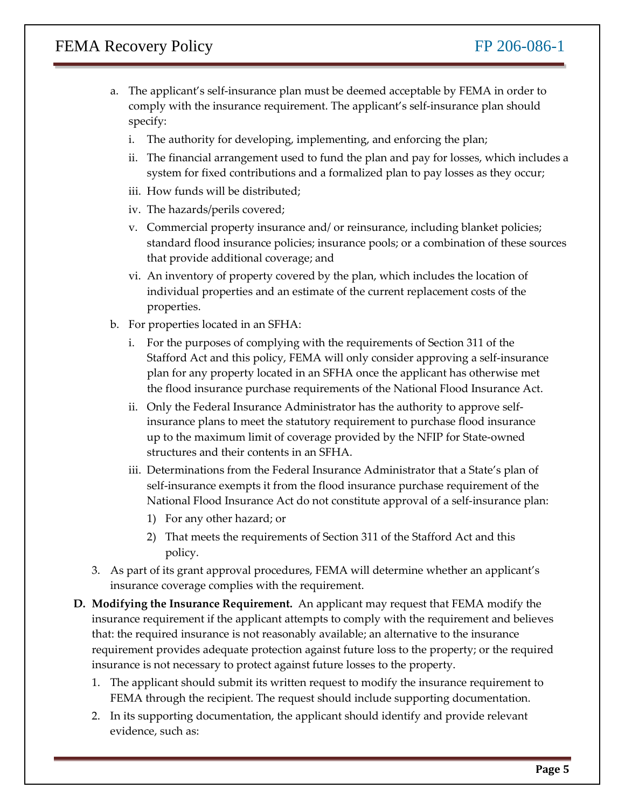- a. The applicant's self-insurance plan must be deemed acceptable by FEMA in order to comply with the insurance requirement. The applicant's self-insurance plan should specify:
	- i. The authority for developing, implementing, and enforcing the plan;
	- ii. The financial arrangement used to fund the plan and pay for losses, which includes a system for fixed contributions and a formalized plan to pay losses as they occur;
	- iii. How funds will be distributed;
	- iv. The hazards/perils covered;
	- v. Commercial property insurance and/ or reinsurance, including blanket policies; standard flood insurance policies; insurance pools; or a combination of these sources that provide additional coverage; and
	- vi. An inventory of property covered by the plan, which includes the location of individual properties and an estimate of the current replacement costs of the properties.
- b. For properties located in an SFHA:
	- i. For the purposes of complying with the requirements of Section 311 of the Stafford Act and this policy, FEMA will only consider approving a self-insurance plan for any property located in an SFHA once the applicant has otherwise met the flood insurance purchase requirements of the National Flood Insurance Act.
	- ii. Only the Federal Insurance Administrator has the authority to approve selfinsurance plans to meet the statutory requirement to purchase flood insurance up to the maximum limit of coverage provided by the NFIP for State-owned structures and their contents in an SFHA.
	- self-insurance exempts it from the flood insurance purchase requirement of the National Flood Insurance Act do not constitute approval of a self-insurance plan: iii. Determinations from the Federal Insurance Administrator that a State's plan of
		- 1) For any other hazard; or
		- 2) That meets the requirements of Section 311 of the Stafford Act and this policy.
- 3. As part of its grant approval procedures, FEMA will determine whether an applicant's insurance coverage complies with the requirement.
- **D. Modifying the Insurance Requirement.** An applicant may request that FEMA modify the requirement provides adequate protection against future loss to the property; or the required insurance requirement if the applicant attempts to comply with the requirement and believes that: the required insurance is not reasonably available; an alternative to the insurance insurance is not necessary to protect against future losses to the property.
	- 1. The applicant should submit its written request to modify the insurance requirement to FEMA through the recipient. The request should include supporting documentation.
	- evidence, such as: 2. In its supporting documentation, the applicant should identify and provide relevant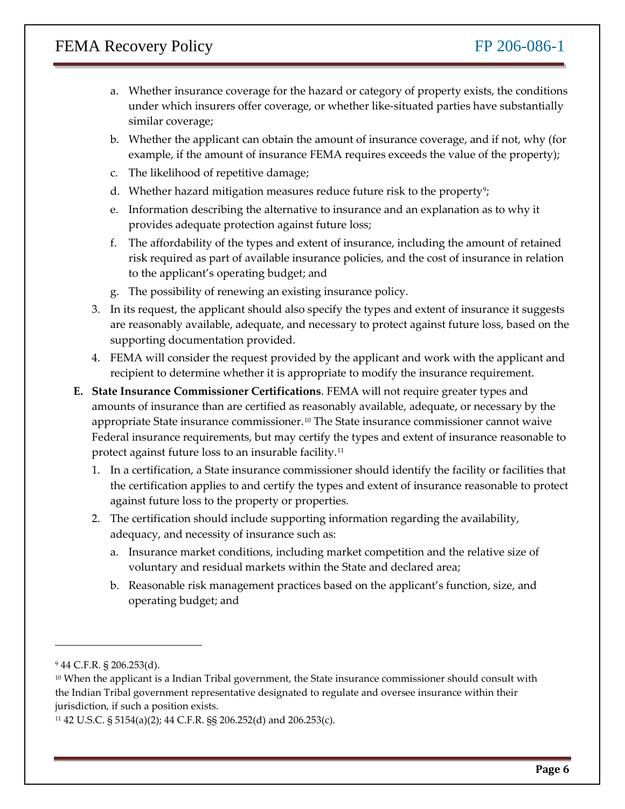- a. Whether insurance coverage for the hazard or category of property exists, the conditions under which insurers offer coverage, or whether like-situated parties have substantially similar coverage;
- b. Whether the applicant can obtain the amount of insurance coverage, and if not, why (for example, if the amount of insurance FEMA requires exceeds the value of the property);
- c. The likelihood of repetitive damage;
- d. Whether hazard mitigation measures reduce future risk to the property<sup>9</sup>;
- e. Information describing the alternative to insurance and an explanation as to why it provides adequate protection against future loss;
- f. The affordability of the types and extent of insurance, including the amount of retained risk required as part of available insurance policies, and the cost of insurance in relation to the applicant's operating budget; and
- g. The possibility of renewing an existing insurance policy.
- 3. In its request, the applicant should also specify the types and extent of insurance it suggests are reasonably available, adequate, and necessary to protect against future loss, based on the supporting documentation provided.
- recipient to determine whether it is appropriate to modify the insurance requirement. 4. FEMA will consider the request provided by the applicant and work with the applicant and
- **E. State Insurance Commissioner Certifications**. FEMA will not require greater types and amounts of insurance than are certified as reasonably available, adequate, or necessary by the protect against future loss to an insurable facility.[11](#page-5-2) appropriate State insurance commissioner.[10](#page-5-1) The State insurance commissioner cannot waive Federal insurance requirements, but may certify the types and extent of insurance reasonable to
	- 1. In a certification, a State insurance commissioner should identify the facility or facilities that the certification applies to and certify the types and extent of insurance reasonable to protect against future loss to the property or properties.
	- adequacy, and necessity of insurance such as: 2. The certification should include supporting information regarding the availability,
		- a. Insurance market conditions, including market competition and the relative size of voluntary and residual markets within the State and declared area;
		- operating budget; and b. Reasonable risk management practices based on the applicant's function, size, and

 $\overline{a}$ 

<span id="page-5-0"></span><sup>9 44</sup> C.F.R. § 206.253(d).

<span id="page-5-1"></span><sup>10</sup> When the applicant is a Indian Tribal government, the State insurance commissioner should consult with the Indian Tribal government representative designated to regulate and oversee insurance within their jurisdiction, if such a position exists.

<span id="page-5-2"></span> 11 42 U.S.C. § 5154(a)(2); 44 C.F.R. §§ 206.252(d) and 206.253(c).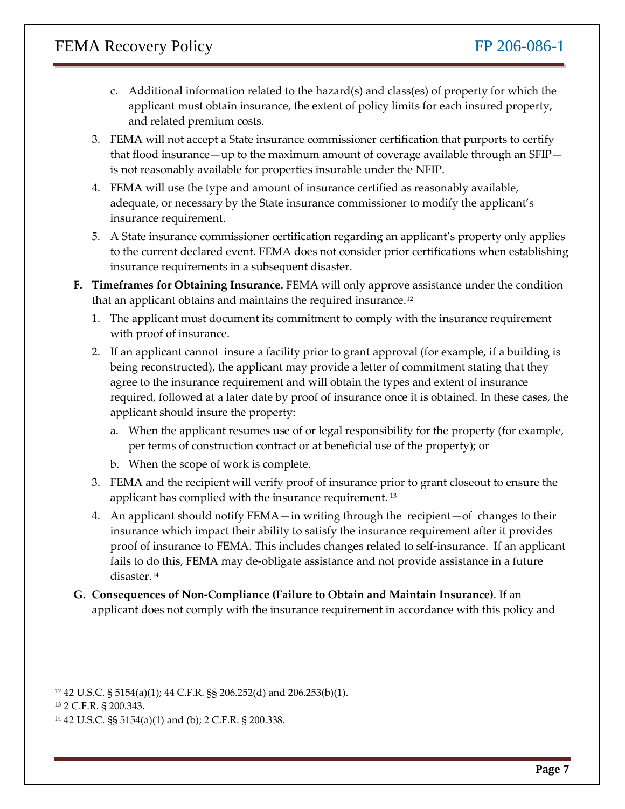- c. Additional information related to the hazard(s) and class(es) of property for which the applicant must obtain insurance, the extent of policy limits for each insured property, and related premium costs.
- and related premium costs.<br>3. FEMA will not accept a State insurance commissioner certification that purports to certify is not reasonably available for properties insurable under the NFIP. that flood insurance—up to the maximum amount of coverage available through an SFIP—
- adequate, or necessary by the State insurance commissioner to modify the applicant's 4. FEMA will use the type and amount of insurance certified as reasonably available, insurance requirement.
- 5. A State insurance commissioner certification regarding an applicant's property only applies to the current declared event. FEMA does not consider prior certifications when establishing insurance requirements in a subsequent disaster.
- **F. Timeframes for Obtaining Insurance.** FEMA will only approve assistance under the condition that an applicant obtains and maintains the required insurance.<sup>[12](#page-6-0)</sup>
	- 1. The applicant must document its commitment to comply with the insurance requirement with proof of insurance.
	- 2. If an applicant cannot insure a facility prior to grant approval (for example, if a building is being reconstructed), the applicant may provide a letter of commitment stating that they agree to the insurance requirement and will obtain the types and extent of insurance required, followed at a later date by proof of insurance once it is obtained. In these cases, the applicant should insure the property:
		- per terms of construction contract or at beneficial use of the property); or a. When the applicant resumes use of or legal responsibility for the property (for example,
		- b. When the scope of work is complete.
	- applicant has complied with the insurance requirement.<sup>13</sup> 3. FEMA and the recipient will verify proof of insurance prior to grant closeout to ensure the
	- 4. An applicant should notify FEMA—in writing through the recipient—of changes to their insurance which impact their ability to satisfy the insurance requirement after it provides fails to do this, FEMA may de-obligate assistance and not provide assistance in a future proof of insurance to FEMA. This includes changes related to self-insurance. If an applicant disaster.[14](#page-6-2)
- **G. Consequences of Non-Compliance (Failure to Obtain and Maintain Insurance)**. If an applicant does not comply with the insurance requirement in accordance with this policy and

l

<span id="page-6-0"></span> 12 42 U.S.C. § 5154(a)(1); 44 C.F.R. §§ 206.252(d) and 206.253(b)(1).

<span id="page-6-1"></span> 13 2 C.F.R. § 200.343.

<span id="page-6-2"></span> 14 42 U.S.C. §§ 5154(a)(1) and (b); 2 C.F.R. § 200.338.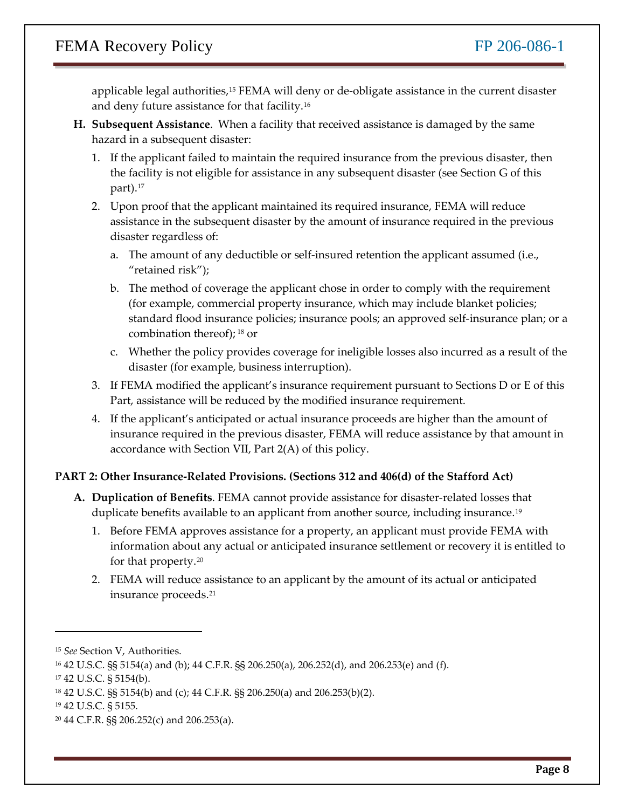applicable legal authorities,[15](#page-7-0) FEMA will deny or de-obligate assistance in the current disaster and deny future assistance for that facility.[16](#page-7-1)

- **H. Subsequent Assistance**. When a facility that received assistance is damaged by the same hazard in a subsequent disaster:
	- the facility is not eligible for assistance in any subsequent disaster (see Section G of this 1. If the applicant failed to maintain the required insurance from the previous disaster, then part).[17](#page-7-2)
	- 2. Upon proof that the applicant maintained its required insurance, FEMA will reduce assistance in the subsequent disaster by the amount of insurance required in the previous disaster regardless of:
		- a. The amount of any deductible or self-insured retention the applicant assumed (i.e., "retained risk");
		- combination thereof); [18](#page-7-3) or b. The method of coverage the applicant chose in order to comply with the requirement (for example, commercial property insurance, which may include blanket policies; standard flood insurance policies; insurance pools; an approved self-insurance plan; or a
		- c. Whether the policy provides coverage for ineligible losses also incurred as a result of the disaster (for example, business interruption).
	- Part, assistance will be reduced by the modified insurance requirement. 3. If FEMA modified the applicant's insurance requirement pursuant to Sections D or E of this
	- insurance required in the previous disaster, FEMA will reduce assistance by that amount in 4. If the applicant's anticipated or actual insurance proceeds are higher than the amount of accordance with Section VII, Part 2(A) of this policy.

#### **PART 2: Other Insurance-Related Provisions. (Sections 312 and 406(d) of the Stafford Act)**

- duplicate benefits available to an applicant from another source, including insurance.<sup>[19](#page-7-4)</sup> **A. Duplication of Benefits**. FEMA cannot provide assistance for disaster-related losses that
	- 1. Before FEMA approves assistance for a property, an applicant must provide FEMA with information about any actual or anticipated insurance settlement or recovery it is entitled to for that property.[20](#page-7-5)
	- 2. FEMA will reduce assistance to an applicant by the amount of its actual or anticipated insurance proceeds.[21](#page-7-3)

 $\overline{a}$ 

<span id="page-7-0"></span><sup>15</sup> *See* Section V, Authorities.

<span id="page-7-1"></span> 16 42 U.S.C. §§ 5154(a) and (b); 44 C.F.R. §§ 206.250(a), 206.252(d), and 206.253(e) and (f).

<span id="page-7-3"></span><span id="page-7-2"></span><sup>17 42</sup> U.S.C. § 5154(b).

 18 42 U.S.C. §§ 5154(b) and (c); 44 C.F.R. §§ 206.250(a) and 206.253(b)(2).

<span id="page-7-4"></span><sup>19 42</sup> U.S.C. § 5155.

<span id="page-7-5"></span> 20 44 C.F.R. §§ 206.252(c) and 206.253(a).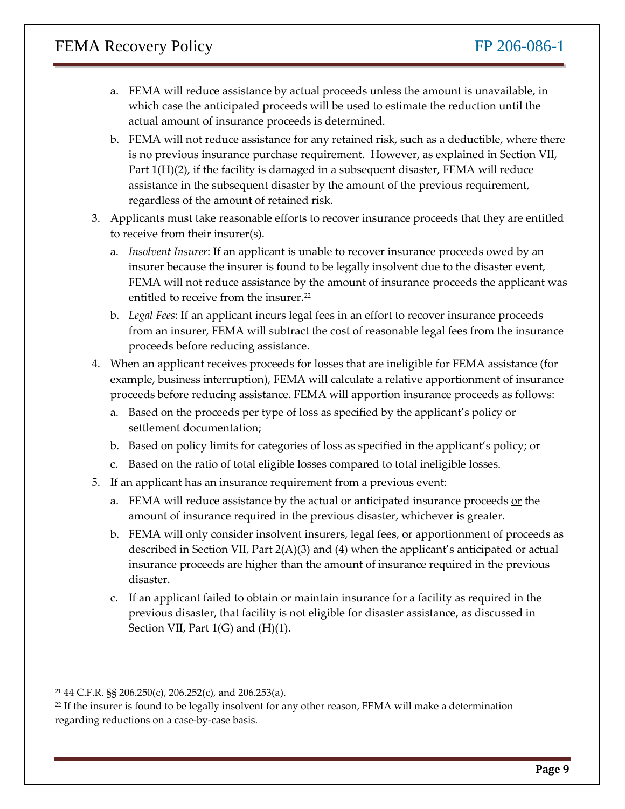- actual amount of insurance proceeds is determined. a. FEMA will reduce assistance by actual proceeds unless the amount is unavailable, in which case the anticipated proceeds will be used to estimate the reduction until the
- actual amount of insurance proceeds is determined.<br>b. FEMA will not reduce assistance for any retained risk, such as a deductible, where there is no previous insurance purchase requirement. However, as explained in Section VII, Part  $1(H)(2)$ , if the facility is damaged in a subsequent disaster, FEMA will reduce assistance in the subsequent disaster by the amount of the previous requirement, regardless of the amount of retained risk.
- 3. Applicants must take reasonable efforts to recover insurance proceeds that they are entitled to receive from their insurer(s).
	- insurer because the insurer is found to be legally insolvent due to the disaster event, FEMA will not reduce assistance by the amount of insurance proceeds the applicant was entitled to receive from the insurer.<sup>22</sup> a. *Insolvent Insurer*: If an applicant is unable to recover insurance proceeds owed by an
	- b. *Legal Fees*: If an applicant incurs legal fees in an effort to recover insurance proceeds from an insurer, FEMA will subtract the cost of reasonable legal fees from the insurance proceeds before reducing assistance.
- 4. When an applicant receives proceeds for losses that are ineligible for FEMA assistance (for proceeds before reducing assistance. FEMA will apportion insurance proceeds as follows: example, business interruption), FEMA will calculate a relative apportionment of insurance
	- a. Based on the proceeds per type of loss as specified by the applicant's policy or settlement documentation;
	- b. Based on policy limits for categories of loss as specified in the applicant's policy; or
	- c. Based on the ratio of total eligible losses compared to total ineligible losses.
- 5. If an applicant has an insurance requirement from a previous event:
	- a. FEMA will reduce assistance by the actual or anticipated insurance proceeds or the amount of insurance required in the previous disaster, whichever is greater.
	- insurance proceeds are higher than the amount of insurance required in the previous b. FEMA will only consider insolvent insurers, legal fees, or apportionment of proceeds as described in Section VII, Part 2(A)(3) and (4) when the applicant's anticipated or actual disaster.
	- c. If an applicant failed to obtain or maintain insurance for a facility as required in the previous disaster, that facility is not eligible for disaster assistance, as discussed in Section VII, Part  $1(G)$  and  $(H)(1)$ .

l

 21 44 C.F.R. §§ 206.250(c), 206.252(c), and 206.253(a).

<span id="page-8-0"></span><sup>22</sup> If the insurer is found to be legally insolvent for any other reason, FEMA will make a determination regarding reductions on a case-by-case basis.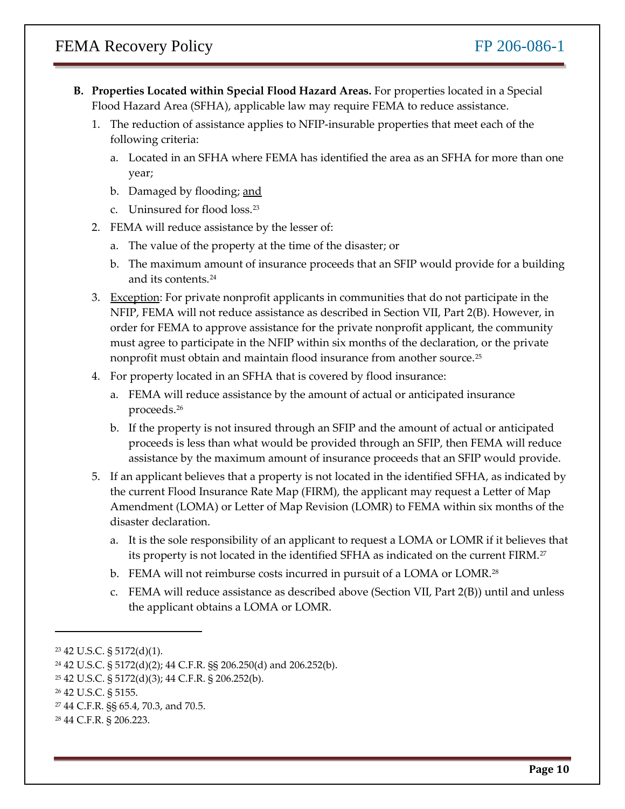- **B. Properties Located within Special Flood Hazard Areas.** For properties located in a Special Flood Hazard Area (SFHA), applicable law may require FEMA to reduce assistance.
	- 1. The reduction of assistance applies to NFIP-insurable properties that meet each of the following criteria:
		- a. Located in an SFHA where FEMA has identified the area as an SFHA for more than one year;
		- b. Damaged by flooding; and
		- c. Uninsured for flood loss.<sup>[23](#page-9-0)</sup>
	- 2. FEMA will reduce assistance by the lesser of:
		- a. The value of the property at the time of the disaster; or
		- b. The maximum amount of insurance proceeds that an SFIP would provide for a building and its contents.[24](#page-9-1)
	- 3. Exception: For private nonprofit applicants in communities that do not participate in the NFIP, FEMA will not reduce assistance as described in Section VII, Part 2(B). However, in order for FEMA to approve assistance for the private nonprofit applicant, the community must agree to participate in the NFIP within six months of the declaration, or the private nonprofit must obtain and maintain flood insurance from another source.[25](#page-9-2)
	- 4. For property located in an SFHA that is covered by flood insurance:
		- a. FEMA will reduce assistance by the amount of actual or anticipated insurance proceeds.[26](#page-9-3)
		- proceeds is less than what would be provided through an SFIP, then FEMA will reduce b. If the property is not insured through an SFIP and the amount of actual or anticipated assistance by the maximum amount of insurance proceeds that an SFIP would provide.
	- 5. If an applicant believes that a property is not located in the identified SFHA, as indicated by the current Flood Insurance Rate Map (FIRM), the applicant may request a Letter of Map Amendment (LOMA) or Letter of Map Revision (LOMR) to FEMA within six months of the disaster declaration.
		- a. It is the sole responsibility of an applicant to request a LOMA or LOMR if it believes that its property is not located in the identified SFHA as indicated on the current FIRM.<sup>27</sup>
		- b. FEMA will not reimburse costs incurred in pursuit of a LOMA or LOMR.<sup>28</sup>
		- c. FEMA will reduce assistance as described above (Section VII, Part 2(B)) until and unless the applicant obtains a LOMA or LOMR.

-

<span id="page-9-0"></span><sup>23 42</sup> U.S.C. § 5172(d)(1).

<span id="page-9-1"></span> 24 42 U.S.C. § 5172(d)(2); 44 C.F.R. §§ 206.250(d) and 206.252(b).

<span id="page-9-2"></span><sup>25 42</sup> U.S.C. § 5172(d)(3); 44 C.F.R. § 206.252(b).

<span id="page-9-3"></span><sup>26 42</sup> U.S.C. § 5155.

<span id="page-9-4"></span><sup>27 44</sup> C.F.R. §§ 65.4, 70.3, and 70.5.

<span id="page-9-5"></span><sup>28 44</sup> C.F.R. § 206.223.